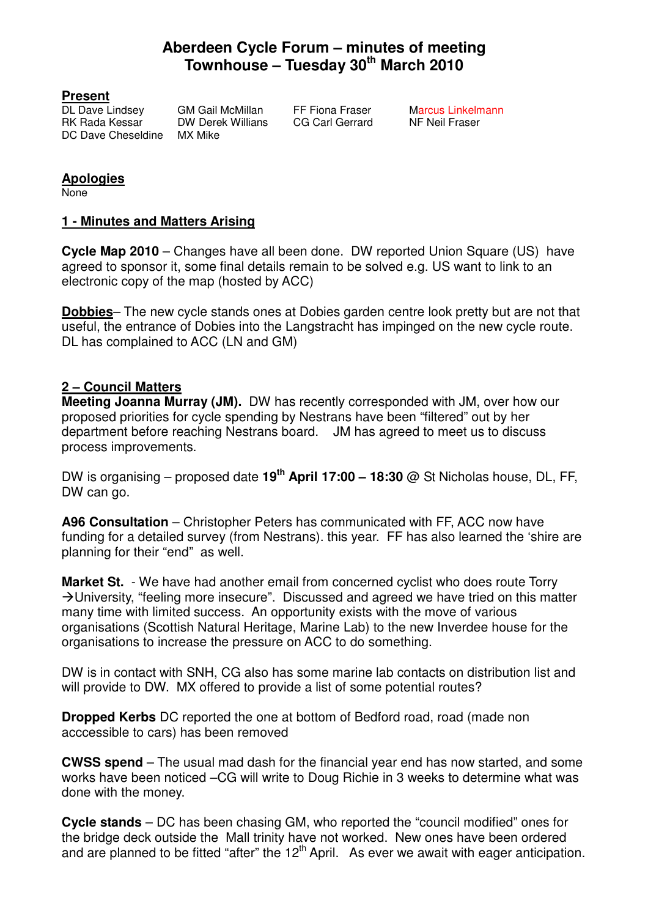# **Aberdeen Cycle Forum – minutes of meeting Townhouse – Tuesday 30th March 2010**

**Present**<br>DL Dave Lindsev RK Rada Kessar DW Derek Willians CG Carl Gerrard NF Neil Fraser DC Dave Cheseldine MX Mike

GM Gail McMillan FF Fiona Fraser Marcus Linkelmann

## **Apologies**

None

#### **1 - Minutes and Matters Arising**

**Cycle Map 2010** – Changes have all been done. DW reported Union Square (US) have agreed to sponsor it, some final details remain to be solved e.g. US want to link to an electronic copy of the map (hosted by ACC)

**Dobbies**– The new cycle stands ones at Dobies garden centre look pretty but are not that useful, the entrance of Dobies into the Langstracht has impinged on the new cycle route. DL has complained to ACC (LN and GM)

### **2 – Council Matters**

**Meeting Joanna Murray (JM).** DW has recently corresponded with JM, over how our proposed priorities for cycle spending by Nestrans have been "filtered" out by her department before reaching Nestrans board. JM has agreed to meet us to discuss process improvements.

DW is organising – proposed date **19th April 17:00 – 18:30** @ St Nicholas house, DL, FF, DW can go.

**A96 Consultation** – Christopher Peters has communicated with FF, ACC now have funding for a detailed survey (from Nestrans). this year. FF has also learned the 'shire are planning for their "end" as well.

**Market St.** - We have had another email from concerned cyclist who does route Torry  $\rightarrow$  University, "feeling more insecure". Discussed and agreed we have tried on this matter many time with limited success. An opportunity exists with the move of various organisations (Scottish Natural Heritage, Marine Lab) to the new Inverdee house for the organisations to increase the pressure on ACC to do something.

DW is in contact with SNH, CG also has some marine lab contacts on distribution list and will provide to DW. MX offered to provide a list of some potential routes?

**Dropped Kerbs** DC reported the one at bottom of Bedford road, road (made non acccessible to cars) has been removed

**CWSS spend** – The usual mad dash for the financial year end has now started, and some works have been noticed –CG will write to Doug Richie in 3 weeks to determine what was done with the money.

**Cycle stands** – DC has been chasing GM, who reported the "council modified" ones for the bridge deck outside the Mall trinity have not worked. New ones have been ordered and are planned to be fitted "after" the 12<sup>th</sup> April. As ever we await with eager anticipation.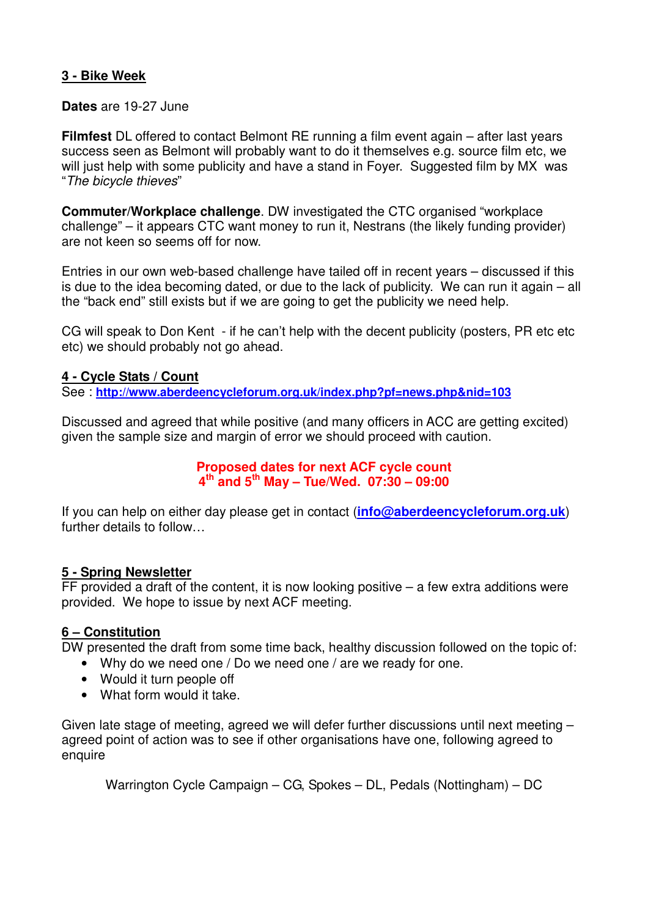## **3 - Bike Week**

#### **Dates** are 19-27 June

**Filmfest** DL offered to contact Belmont RE running a film event again – after last years success seen as Belmont will probably want to do it themselves e.g. source film etc, we will just help with some publicity and have a stand in Foyer. Suggested film by MX was "The bicycle thieves"

**Commuter/Workplace challenge**. DW investigated the CTC organised "workplace challenge" – it appears CTC want money to run it, Nestrans (the likely funding provider) are not keen so seems off for now.

Entries in our own web-based challenge have tailed off in recent years – discussed if this is due to the idea becoming dated, or due to the lack of publicity. We can run it again – all the "back end" still exists but if we are going to get the publicity we need help.

CG will speak to Don Kent - if he can't help with the decent publicity (posters, PR etc etc etc) we should probably not go ahead.

#### **4 - Cycle Stats / Count**

See : **http://www.aberdeencycleforum.org.uk/index.php?pf=news.php&nid=103**

Discussed and agreed that while positive (and many officers in ACC are getting excited) given the sample size and margin of error we should proceed with caution.

#### **Proposed dates for next ACF cycle count 4 th and 5th May – Tue/Wed. 07:30 – 09:00**

If you can help on either day please get in contact (**info@aberdeencycleforum.org.uk**) further details to follow…

#### **5 - Spring Newsletter**

FF provided a draft of the content, it is now looking positive  $-$  a few extra additions were provided. We hope to issue by next ACF meeting.

#### **6 – Constitution**

DW presented the draft from some time back, healthy discussion followed on the topic of:

- Why do we need one / Do we need one / are we ready for one.
- Would it turn people off
- What form would it take.

Given late stage of meeting, agreed we will defer further discussions until next meeting – agreed point of action was to see if other organisations have one, following agreed to enquire

Warrington Cycle Campaign – CG, Spokes – DL, Pedals (Nottingham) – DC